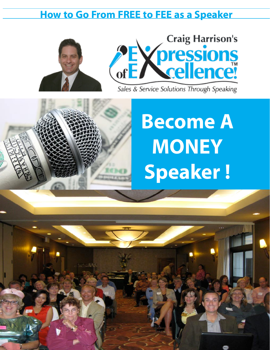# **How to Go From FREE to FEE as a Speaker**





Sales & Service Solutions Through Speaking

# **Become A MONEY Speaker !**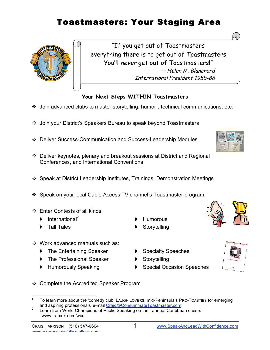# Toastmasters: Your Staging Area



"If you get out of Toastmasters everything there is to get out of Toastmasters You'll never get out of Toastmasters!" — Helen M. Blanchard International President 1985-86

#### **Your Next Steps WITHIN Toastmasters**

- $\cdot$  Join advanced clubs to master storytelling, humor<sup>1</sup>, technical communications, etc.
- Join your District's Speakers Bureau to speak beyond Toastmasters
- Deliver Success-Communication and Success-Leadership Modules
- Deliver keynotes, plenary and breakout sessions at District and Regional Conferences, and International Conventions
- Speak at District Leadership Institutes, Trainings, Demonstration Meetings
- Speak on your local Cable Access TV channel's Toastmaster program
- Enter Contests of all kinds:
	- International<sup>2</sup> ▶ Humorous
	- Tall Tales ● Storytelling
- ❖ Work advanced manuals such as:
	- The Entertaining Speaker ♦ Specialty Speeches
	- The Professional Speaker **♦** Storytelling
	-
- 
- 
- Humorously Speaking **♦ Special Occasion Speeches**



❖ Complete the Accredited Speaker Program





To learn more about the 'comedy club' LAUGH LOVERS, mid-Peninsula's PRO-TOASTIES for emerging<br>and aspiring professionals e-mail Craig@ConsummateToastmaster.com.

<sup>&</sup>lt;sup>2</sup> Learn from World Champions of Public Speaking on their annual Caribbean cruise: www.tramex.com/wcs.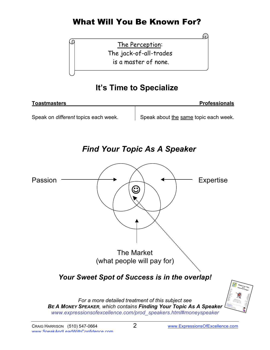# What Will You Be Known For?

The Perception: The jack-of-all-trades is a master of none.

## **It's Time to Specialize**

| Toastmasters                         | <b>Professionals</b>                  |
|--------------------------------------|---------------------------------------|
|                                      |                                       |
| Speak on different topics each week. | Speak about the same topic each week. |

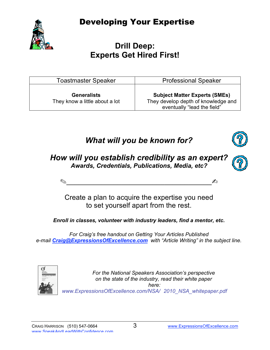Developing Your Expertise



## **Drill Deep: Experts Get Hired First!**

| <b>Toastmaster Speaker</b>                           | <b>Professional Speaker</b>                                                                                |
|------------------------------------------------------|------------------------------------------------------------------------------------------------------------|
| <b>Generalists</b><br>They know a little about a lot | <b>Subject Matter Experts (SMEs)</b><br>They develop depth of knowledge and<br>eventually "lead the field" |

# *What will you be known for?*



### *How will you establish credibility as an expert? Awards, Credentials, Publications, Media, etc?*

$$
\qquad \qquad \text{or} \qquad \qquad \text{or} \qquad \qquad \text{or} \qquad \qquad \text{or} \qquad \text{or} \qquad \text{or} \qquad \text{or} \qquad \text{or} \qquad \text{or} \qquad \text{or} \qquad \text{or} \qquad \text{or} \qquad \text{or} \qquad \text{or} \qquad \text{or} \qquad \text{or} \qquad \text{or} \qquad \text{or} \qquad \text{or} \qquad \text{or} \qquad \text{or} \qquad \text{or} \qquad \text{or} \qquad \text{or} \qquad \text{or} \qquad \text{or} \qquad \text{or} \qquad \text{or} \qquad \text{or} \qquad \text{or} \qquad \text{or} \qquad \text{or} \qquad \text{or} \qquad \text{or} \qquad \text{or} \qquad \text{or} \qquad \text{or} \qquad \text{or} \qquad \text{or} \qquad \text{or} \qquad \text{or} \qquad \text{or} \qquad \text{or} \qquad \text{or} \qquad \text{or} \qquad \text{or} \qquad \text{or} \qquad \text{or} \qquad \text{or} \qquad \text{or} \qquad \text{or} \qquad \text{or} \qquad \text{or} \qquad \text{or} \qquad \text{or} \qquad \text{or} \qquad \text{or} \qquad \text{or} \qquad \text{or} \qquad \text{or} \qquad \text{or} \qquad \text{or} \qquad \text{or} \qquad \text{or} \qquad \text{or} \qquad \text{or} \qquad \text{or} \qquad \text{or} \qquad \text{or} \qquad \text{or} \qquad \text{or} \qquad \text{or} \qquad \text{or} \qquad \text{or} \qquad \text{or} \qquad \text{or} \qquad \text{or} \qquad \text{or} \qquad \text{or} \qquad \text{or} \qquad \text{or} \qquad \text{or} \qquad \text{or} \qquad \text{or} \qquad \text{or} \qquad \text{or} \qquad \text{or} \qquad \text{or} \qquad \text{or} \qquad \text{or} \qquad \text{or} \qquad \text{or} \qquad \text{or} \qquad \
$$

Create a plan to acquire the expertise you need to set yourself apart from the rest.

*Enroll in classes, volunteer with industry leaders, find a mentor, etc.*

*For Craig's free handout on Getting Your Articles Published e-mail Craig@ExpressionsOfExcellence.com with "Article Writing" in the subject line.*



*For the National Speakers Association's perspective on the state of the industry, read their white paper here: www.ExpressionsOfExcellence.com/NSA/ 2010\_NSA\_whitepaper.pdf*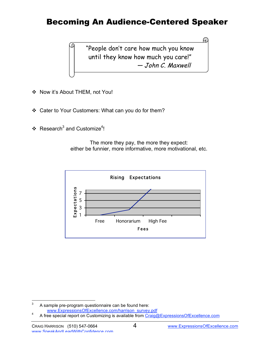## Becoming An Audience-Centered Speaker

"People don't care how much you know until they know how much you care!" — John C. Maxwell

- ❖ Now it's About THEM, not You!
- \* Cater to Your Customers: What can you do for them?
- ❖ Research<sup>3</sup> and Customize<sup>4</sup>!

The more they pay, the more they expect: either be funnier, more informative, more motivational, etc.



 $3<sup>3</sup>$  A sample pre-program questionnaire can be found here:

www.ExpressionsOfExcellence.com/harrison\_survey.pdf<br>A free special report on Customizing is available from Craig@ExpressionsOfExcellence.com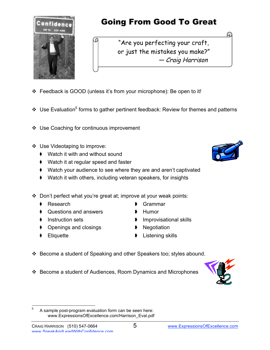

# Going From Good To Great

"Are you perfecting your craft, or just the mistakes you make?" — Craig Harrison

- Feedback is GOOD (unless it's from your microphone): Be open to it!
- ❖ Use Evaluation<sup>5</sup> forms to gather pertinent feedback: Review for themes and patterns
- ❖ Use Coaching for continuous improvement
- Use Videotaping to improve:
	- Watch it with and without sound
	- Watch it at regular speed and faster
	- Watch your audience to see where they are and aren't captivated
	- Watch it with others, including veteran speakers, for insights
- Don't perfect what you're great at; improve at your weak points:
	-
	- ♦ Questions and answers ♦ Humor
	-
	- ♦ Openings and closings ♦ Negotiation
	-
- Research 6rammar
	-
	- Instruction sets ➧ Improvisational skills
		-
		- Etiquette ♦ Listening skills
- Become a student of Speaking and other Speakers too; styles abound.
- Become a student of Audiences, Room Dynamics and Microphones







<sup>&</sup>lt;sup>5</sup> A sample post-program evaluation form can be seen here: www.ExpressionsOfExcellence.com/Harrison\_Eval.pdf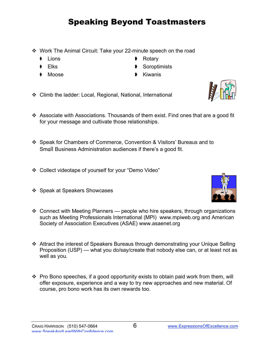# Speaking Beyond Toastmasters

- Work The Animal Circuit: Take your 22-minute speech on the road
	-
	-
	-
- Lions ♦ Rotary
- Elks Soroptimists
- Moose ▶ Kiwanis
- Climb the ladder: Local, Regional, National, International
- Associate with Associations. Thousands of them exist. Find ones that are a good fit for your message and cultivate those relationships.
- Speak for Chambers of Commerce, Convention & Visitors' Bureaus and to Small Business Administration audiences if there's a good fit.
- Collect videotape of yourself for your "Demo Video"
- ❖ Speak at Speakers Showcases
- Connect with Meeting Planners people who hire speakers, through organizations such as Meeting Professionals International (MPI) www.mpiweb.org and American Society of Association Executives (ASAE) www.asaenet.org
- Attract the interest of Speakers Bureaus through demonstrating your Unique Selling Proposition (USP) — what you do/say/create that nobody else can, or at least not as well as you.
- $\cdot \cdot$  Pro Bono speeches, if a good opportunity exists to obtain paid work from them, will offer exposure, experience and a way to try new approaches and new material. Of course, pro bono work has its own rewards too.